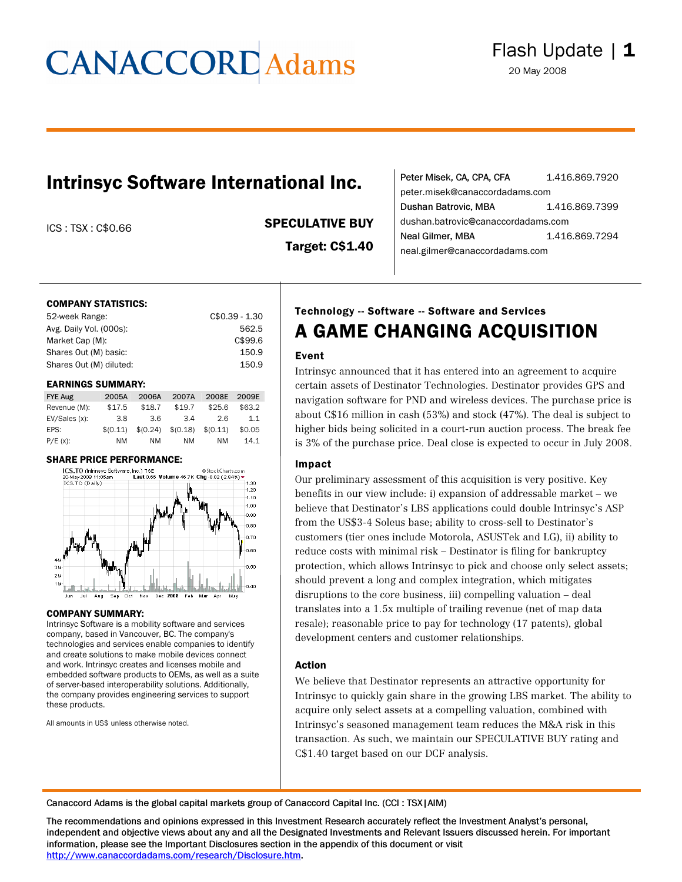# **CANACCORD** Adams

### Intrinsyc Software International Inc.

#### ICS : TSX : C\$0.66 SPECULATIVE BUY

Target: C\$1.40

| Peter Misek, CA, CPA, CFA          | 1.416.869.7920 |  |
|------------------------------------|----------------|--|
| peter.misek@canaccordadams.com     |                |  |
| Dushan Batrovic, MBA               | 1.416.869.7399 |  |
| dushan.batrovic@canaccordadams.com |                |  |
| Neal Gilmer, MBA                   | 1.416.869.7294 |  |
| neal.gilmer@canaccordadams.com     |                |  |

#### COMPANY STATISTICS:

| 52-week Range:          | $C$0.39 - 1.30$ |
|-------------------------|-----------------|
| Avg. Daily Vol. (000s): | 562.5           |
| Market Cap (M):         | C\$99.6         |
| Shares Out (M) basic:   | 150.9           |
| Shares Out (M) diluted: | 150.9           |

#### EARNINGS SUMMARY:

| <b>FYE Aug</b> | 2005A    | 2006A    | 2007A    | 2008E    | 2009E  |
|----------------|----------|----------|----------|----------|--------|
| Revenue (M):   | \$17.5   | \$18.7   | \$19.7   | \$25.6   | \$63.2 |
| EV/Sales (x):  | 3.8      | 3.6      | 3.4      | 2.6      | 1.1    |
| EPS:           | \$(0.11) | \$(0.24) | \$(0.18) | \$(0.11) | \$0.05 |
| $P/E(x)$ :     | ΝM       | ΝM       | NM.      | NM       | 14.1   |

#### SHARE PRICE PERFORMANCE:



#### COMPANY SUMMARY:

Intrinsyc Software is a mobility software and services company, based in Vancouver, BC. The company's technologies and services enable companies to identify and create solutions to make mobile devices connect and work. Intrinsyc creates and licenses mobile and embedded software products to OEMs, as well as a suite of server-based interoperability solutions. Additionally, the company provides engineering services to support these products.

All amounts in US\$ unless otherwise noted.

### Technology -- Software -- Software and Services A GAME CHANGING ACQUISITION

#### Event

Intrinsyc announced that it has entered into an agreement to acquire certain assets of Destinator Technologies. Destinator provides GPS and navigation software for PND and wireless devices. The purchase price is about C\$16 million in cash (53%) and stock (47%). The deal is subject to higher bids being solicited in a court-run auction process. The break fee is 3% of the purchase price. Deal close is expected to occur in July 2008.

#### Impact

Our preliminary assessment of this acquisition is very positive. Key benefits in our view include: i) expansion of addressable market – we believe that Destinator's LBS applications could double Intrinsyc's ASP from the US\$3-4 Soleus base; ability to cross-sell to Destinator's customers (tier ones include Motorola, ASUSTek and LG), ii) ability to reduce costs with minimal risk – Destinator is filing for bankruptcy protection, which allows Intrinsyc to pick and choose only select assets; should prevent a long and complex integration, which mitigates disruptions to the core business, iii) compelling valuation – deal translates into a 1.5x multiple of trailing revenue (net of map data resale); reasonable price to pay for technology (17 patents), global development centers and customer relationships.

#### Action

We believe that Destinator represents an attractive opportunity for Intrinsyc to quickly gain share in the growing LBS market. The ability to acquire only select assets at a compelling valuation, combined with Intrinsyc's seasoned management team reduces the M&A risk in this transaction. As such, we maintain our SPECULATIVE BUY rating and C\$1.40 target based on our DCF analysis.

Canaccord Adams is the global capital markets group of Canaccord Capital Inc. (CCI : TSX|AIM)

The recommendations and opinions expressed in this Investment Research accurately reflect the Investment Analyst's personal, independent and objective views about any and all the Designated Investments and Relevant Issuers discussed herein. For important information, please see the Important Disclosures section in the appendix of this document or visit <http://www.canaccordadams.com/research/Disclosure.htm>.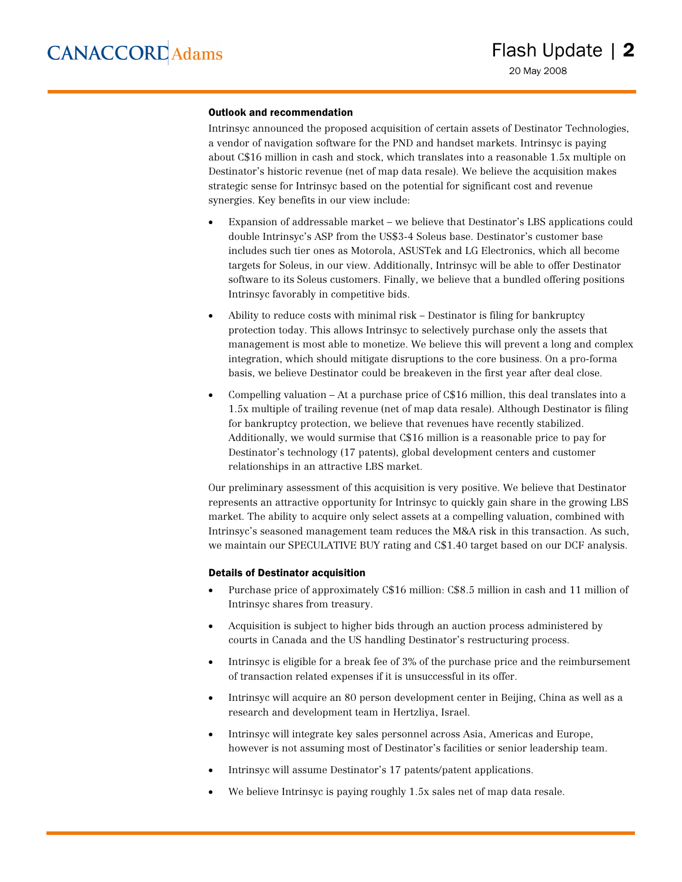#### Outlook and recommendation

Intrinsyc announced the proposed acquisition of certain assets of Destinator Technologies, a vendor of navigation software for the PND and handset markets. Intrinsyc is paying about C\$16 million in cash and stock, which translates into a reasonable 1.5x multiple on Destinator's historic revenue (net of map data resale). We believe the acquisition makes strategic sense for Intrinsyc based on the potential for significant cost and revenue synergies. Key benefits in our view include:

- Expansion of addressable market we believe that Destinator's LBS applications could double Intrinsyc's ASP from the US\$3-4 Soleus base. Destinator's customer base includes such tier ones as Motorola, ASUSTek and LG Electronics, which all become targets for Soleus, in our view. Additionally, Intrinsyc will be able to offer Destinator software to its Soleus customers. Finally, we believe that a bundled offering positions Intrinsyc favorably in competitive bids.
- Ability to reduce costs with minimal risk Destinator is filing for bankruptcy protection today. This allows Intrinsyc to selectively purchase only the assets that management is most able to monetize. We believe this will prevent a long and complex integration, which should mitigate disruptions to the core business. On a pro-forma basis, we believe Destinator could be breakeven in the first year after deal close.
- Compelling valuation At a purchase price of C\$16 million, this deal translates into a 1.5x multiple of trailing revenue (net of map data resale). Although Destinator is filing for bankruptcy protection, we believe that revenues have recently stabilized. Additionally, we would surmise that C\$16 million is a reasonable price to pay for Destinator's technology (17 patents), global development centers and customer relationships in an attractive LBS market.

Our preliminary assessment of this acquisition is very positive. We believe that Destinator represents an attractive opportunity for Intrinsyc to quickly gain share in the growing LBS market. The ability to acquire only select assets at a compelling valuation, combined with Intrinsyc's seasoned management team reduces the M&A risk in this transaction. As such, we maintain our SPECULATIVE BUY rating and C\$1.40 target based on our DCF analysis.

#### Details of Destinator acquisition

- Purchase price of approximately C\$16 million: C\$8.5 million in cash and 11 million of Intrinsyc shares from treasury.
- Acquisition is subject to higher bids through an auction process administered by courts in Canada and the US handling Destinator's restructuring process.
- Intrinsyc is eligible for a break fee of 3% of the purchase price and the reimbursement of transaction related expenses if it is unsuccessful in its offer.
- Intrinsyc will acquire an 80 person development center in Beijing, China as well as a research and development team in Hertzliya, Israel.
- Intrinsyc will integrate key sales personnel across Asia, Americas and Europe, however is not assuming most of Destinator's facilities or senior leadership team.
- Intrinsyc will assume Destinator's 17 patents/patent applications.
- We believe Intrinsyc is paying roughly 1.5x sales net of map data resale.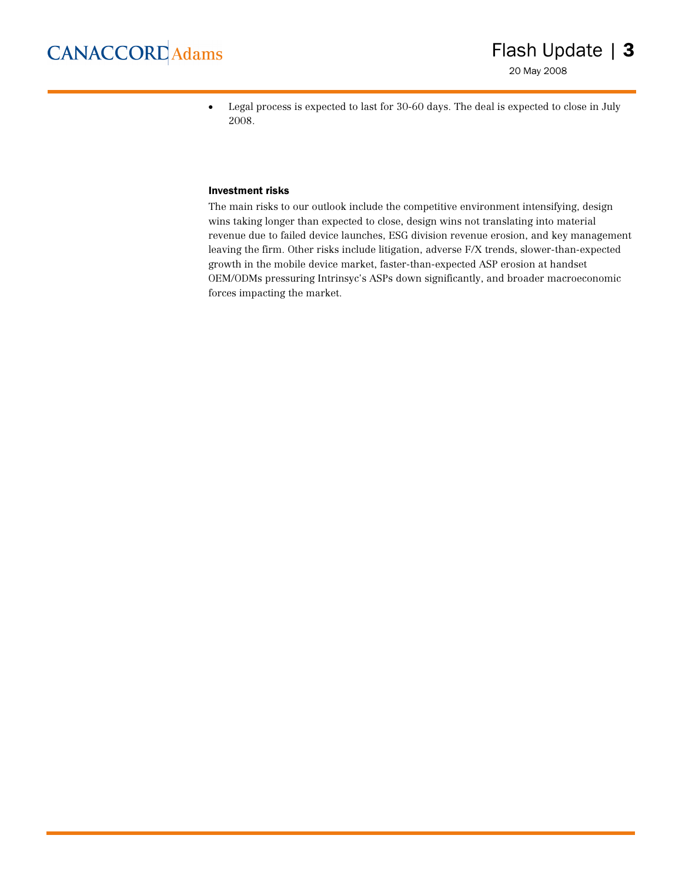20 May 2008

• Legal process is expected to last for 30-60 days. The deal is expected to close in July 2008.

#### Investment risks

The main risks to our outlook include the competitive environment intensifying, design wins taking longer than expected to close, design wins not translating into material revenue due to failed device launches, ESG division revenue erosion, and key management leaving the firm. Other risks include litigation, adverse F/X trends, slower-than-expected growth in the mobile device market, faster-than-expected ASP erosion at handset OEM/ODMs pressuring Intrinsyc's ASPs down significantly, and broader macroeconomic forces impacting the market.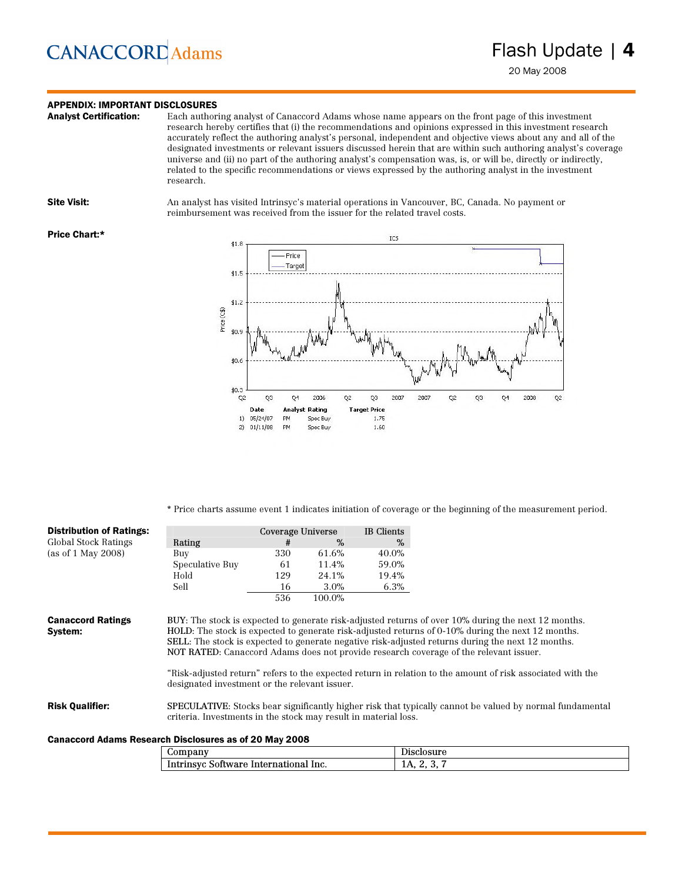## **CANACCORD** Adams

### **APPENDIX: IMPORTANT DISCLOSURES**<br>**Analyst Certification:** Each author

Each authoring analyst of Canaccord Adams whose name appears on the front page of this investment research hereby certifies that (i) the recommendations and opinions expressed in this investment research accurately reflect the authoring analyst's personal, independent and objective views about any and all of the designated investments or relevant issuers discussed herein that are within such authoring analyst's coverage universe and (ii) no part of the authoring analyst's compensation was, is, or will be, directly or indirectly, related to the specific recommendations or views expressed by the authoring analyst in the investment research.

Site Visit: An analyst has visited Intrinsyc's material operations in Vancouver, BC, Canada. No payment or reimbursement was received from the issuer for the related travel costs.

#### Price Chart:\*



\* Price charts assume event 1 indicates initiation of coverage or the beginning of the measurement period.

| <b>Distribution of Ratings:</b>                        |                                                                 | Coverage Universe |        | <b>IB</b> Clients |                                                                                                                                                                                                                                                                                                                                                                                                                                                                                                                      |
|--------------------------------------------------------|-----------------------------------------------------------------|-------------------|--------|-------------------|----------------------------------------------------------------------------------------------------------------------------------------------------------------------------------------------------------------------------------------------------------------------------------------------------------------------------------------------------------------------------------------------------------------------------------------------------------------------------------------------------------------------|
| Global Stock Ratings                                   | Rating                                                          | #                 | %      | %                 |                                                                                                                                                                                                                                                                                                                                                                                                                                                                                                                      |
| (as of $1$ May $2008$ )                                | Buy                                                             | 330               | 61.6%  | 40.0%             |                                                                                                                                                                                                                                                                                                                                                                                                                                                                                                                      |
|                                                        | Speculative Buy                                                 | 61                | 11.4%  | 59.0%             |                                                                                                                                                                                                                                                                                                                                                                                                                                                                                                                      |
|                                                        | Hold                                                            | 129               | 24.1%  | 19.4%             |                                                                                                                                                                                                                                                                                                                                                                                                                                                                                                                      |
|                                                        | Sell                                                            | 16                | 3.0%   | 6.3%              |                                                                                                                                                                                                                                                                                                                                                                                                                                                                                                                      |
|                                                        |                                                                 | 536               | 100.0% |                   |                                                                                                                                                                                                                                                                                                                                                                                                                                                                                                                      |
| <b>Canaccord Ratings</b><br>System:                    | designated investment or the relevant issuer.                   |                   |        |                   | BUY: The stock is expected to generate risk-adjusted returns of over 10% during the next 12 months.<br>HOLD: The stock is expected to generate risk-adjusted returns of 0-10% during the next 12 months.<br>SELL: The stock is expected to generate negative risk-adjusted returns during the next 12 months.<br>NOT RATED: Canaccord Adams does not provide research coverage of the relevant issuer.<br>"Risk-adjusted return" refers to the expected return in relation to the amount of risk associated with the |
| <b>Risk Qualifier:</b>                                 | criteria. Investments in the stock may result in material loss. |                   |        |                   | SPECULATIVE: Stocks bear significantly higher risk that typically cannot be valued by normal fundamental                                                                                                                                                                                                                                                                                                                                                                                                             |
| Canaccord Adams Research Disclosures as of 20 May 2008 |                                                                 |                   |        |                   |                                                                                                                                                                                                                                                                                                                                                                                                                                                                                                                      |
|                                                        | Company                                                         |                   |        |                   | Disclosure                                                                                                                                                                                                                                                                                                                                                                                                                                                                                                           |

Intrinsyc Software International Inc. 1A, 2, 3, 7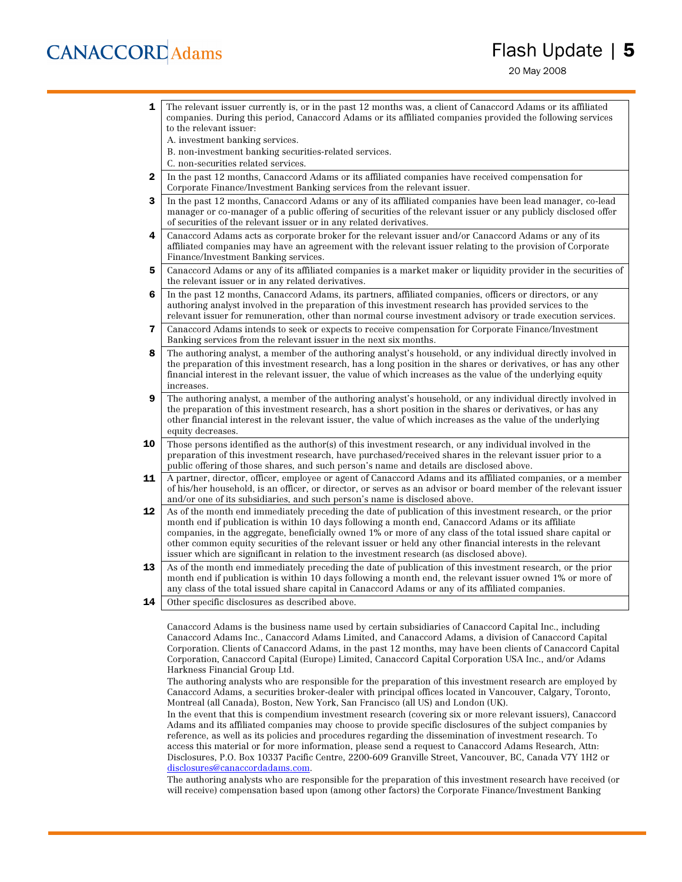## **CANACCORD** Adams

- **1** The relevant issuer currently is, or in the past 12 months was, a client of Canaccord Adams or its affiliated companies. During this period, Canaccord Adams or its affiliated companies provided the following services to the relevant issuer:
	- A. investment banking services.
	- B. non-investment banking securities-related services.
	- C. non-securities related services.
- 2 In the past 12 months, Canaccord Adams or its affiliated companies have received compensation for Corporate Finance/Investment Banking services from the relevant issuer.
- **3** In the past 12 months, Canaccord Adams or any of its affiliated companies have been lead manager, co-lead manager or co-manager of a public offering of securities of the relevant issuer or any publicly disclosed offer of securities of the relevant issuer or in any related derivatives.
- 4 Canaccord Adams acts as corporate broker for the relevant issuer and/or Canaccord Adams or any of its affiliated companies may have an agreement with the relevant issuer relating to the provision of Corporate Finance/Investment Banking services.
- 5 Canaccord Adams or any of its affiliated companies is a market maker or liquidity provider in the securities of the relevant issuer or in any related derivatives.
- 6 In the past 12 months, Canaccord Adams, its partners, affiliated companies, officers or directors, or any authoring analyst involved in the preparation of this investment research has provided services to the relevant issuer for remuneration, other than normal course investment advisory or trade execution services.
- 7 Canaccord Adams intends to seek or expects to receive compensation for Corporate Finance/Investment Banking services from the relevant issuer in the next six months.
- 8 The authoring analyst, a member of the authoring analyst's household, or any individual directly involved in the preparation of this investment research, has a long position in the shares or derivatives, or has any other financial interest in the relevant issuer, the value of which increases as the value of the underlying equity increases.
- **9** The authoring analyst, a member of the authoring analyst's household, or any individual directly involved in the preparation of this investment research, has a short position in the shares or derivatives, or has any other financial interest in the relevant issuer, the value of which increases as the value of the underlying equity decreases.
- **10** Those persons identified as the author(s) of this investment research, or any individual involved in the preparation of this investment research, have purchased/received shares in the relevant issuer prior to a public offering of those shares, and such person's name and details are disclosed above.
- 11 A partner, director, officer, employee or agent of Canaccord Adams and its affiliated companies, or a member of his/her household, is an officer, or director, or serves as an advisor or board member of the relevant issuer and/or one of its subsidiaries, and such person's name is disclosed above.
- 12 As of the month end immediately preceding the date of publication of this investment research, or the prior month end if publication is within 10 days following a month end, Canaccord Adams or its affiliate companies, in the aggregate, beneficially owned 1% or more of any class of the total issued share capital or other common equity securities of the relevant issuer or held any other financial interests in the relevant issuer which are significant in relation to the investment research (as disclosed above).
- 13 As of the month end immediately preceding the date of publication of this investment research, or the prior month end if publication is within 10 days following a month end, the relevant issuer owned 1% or more of any class of the total issued share capital in Canaccord Adams or any of its affiliated companies.
- **14** Other specific disclosures as described above.

Canaccord Adams is the business name used by certain subsidiaries of Canaccord Capital Inc., including Canaccord Adams Inc., Canaccord Adams Limited, and Canaccord Adams, a division of Canaccord Capital Corporation. Clients of Canaccord Adams, in the past 12 months, may have been clients of Canaccord Capital Corporation, Canaccord Capital (Europe) Limited, Canaccord Capital Corporation USA Inc., and/or Adams Harkness Financial Group Ltd.

The authoring analysts who are responsible for the preparation of this investment research are employed by Canaccord Adams, a securities broker-dealer with principal offices located in Vancouver, Calgary, Toronto, Montreal (all Canada), Boston, New York, San Francisco (all US) and London (UK).

In the event that this is compendium investment research (covering six or more relevant issuers), Canaccord Adams and its affiliated companies may choose to provide specific disclosures of the subject companies by reference, as well as its policies and procedures regarding the dissemination of investment research. To access this material or for more information, please send a request to Canaccord Adams Research, Attn: Disclosures, P.O. Box 10337 Pacific Centre, 2200-609 Granville Street, Vancouver, BC, Canada V7Y 1H2 or [disclosures@canaccordadams.com.](mailto:disclosures@canaccordadams.com)

The authoring analysts who are responsible for the preparation of this investment research have received (or will receive) compensation based upon (among other factors) the Corporate Finance/Investment Banking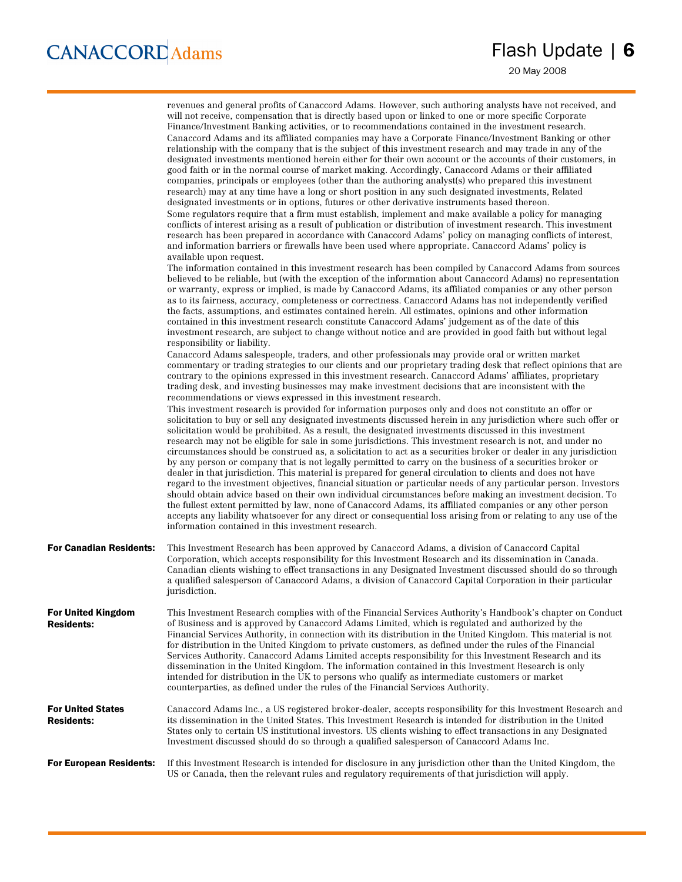|                                               | revenues and general profits of Canaccord Adams. However, such authoring analysts have not received, and<br>will not receive, compensation that is directly based upon or linked to one or more specific Corporate<br>Finance/Investment Banking activities, or to recommendations contained in the investment research.<br>Canaccord Adams and its affiliated companies may have a Corporate Finance/Investment Banking or other<br>relationship with the company that is the subject of this investment research and may trade in any of the<br>designated investments mentioned herein either for their own account or the accounts of their customers, in<br>good faith or in the normal course of market making. Accordingly, Canaccord Adams or their affiliated<br>companies, principals or employees (other than the authoring analyst(s) who prepared this investment<br>research) may at any time have a long or short position in any such designated investments, Related<br>designated investments or in options, futures or other derivative instruments based thereon.<br>Some regulators require that a firm must establish, implement and make available a policy for managing<br>conflicts of interest arising as a result of publication or distribution of investment research. This investment<br>research has been prepared in accordance with Canaccord Adams' policy on managing conflicts of interest,<br>and information barriers or firewalls have been used where appropriate. Canaccord Adams' policy is<br>available upon request.<br>The information contained in this investment research has been compiled by Canaccord Adams from sources<br>believed to be reliable, but (with the exception of the information about Canaccord Adams) no representation<br>or warranty, express or implied, is made by Canaccord Adams, its affiliated companies or any other person<br>as to its fairness, accuracy, completeness or correctness. Canaccord Adams has not independently verified<br>the facts, assumptions, and estimates contained herein. All estimates, opinions and other information<br>contained in this investment research constitute Canaccord Adams' judgement as of the date of this<br>investment research, are subject to change without notice and are provided in good faith but without legal<br>responsibility or liability.<br>Canaccord Adams salespeople, traders, and other professionals may provide oral or written market<br>commentary or trading strategies to our clients and our proprietary trading desk that reflect opinions that are<br>contrary to the opinions expressed in this investment research. Canaccord Adams' affiliates, proprietary<br>trading desk, and investing businesses may make investment decisions that are inconsistent with the<br>recommendations or views expressed in this investment research.<br>This investment research is provided for information purposes only and does not constitute an offer or<br>solicitation to buy or sell any designated investments discussed herein in any jurisdiction where such offer or<br>solicitation would be prohibited. As a result, the designated investments discussed in this investment<br>research may not be eligible for sale in some jurisdictions. This investment research is not, and under no<br>circumstances should be construed as, a solicitation to act as a securities broker or dealer in any jurisdiction<br>by any person or company that is not legally permitted to carry on the business of a securities broker or<br>dealer in that jurisdiction. This material is prepared for general circulation to clients and does not have<br>regard to the investment objectives, financial situation or particular needs of any particular person. Investors<br>should obtain advice based on their own individual circumstances before making an investment decision. To<br>the fullest extent permitted by law, none of Canaccord Adams, its affiliated companies or any other person<br>accepts any liability whatsoever for any direct or consequential loss arising from or relating to any use of the |
|-----------------------------------------------|-------------------------------------------------------------------------------------------------------------------------------------------------------------------------------------------------------------------------------------------------------------------------------------------------------------------------------------------------------------------------------------------------------------------------------------------------------------------------------------------------------------------------------------------------------------------------------------------------------------------------------------------------------------------------------------------------------------------------------------------------------------------------------------------------------------------------------------------------------------------------------------------------------------------------------------------------------------------------------------------------------------------------------------------------------------------------------------------------------------------------------------------------------------------------------------------------------------------------------------------------------------------------------------------------------------------------------------------------------------------------------------------------------------------------------------------------------------------------------------------------------------------------------------------------------------------------------------------------------------------------------------------------------------------------------------------------------------------------------------------------------------------------------------------------------------------------------------------------------------------------------------------------------------------------------------------------------------------------------------------------------------------------------------------------------------------------------------------------------------------------------------------------------------------------------------------------------------------------------------------------------------------------------------------------------------------------------------------------------------------------------------------------------------------------------------------------------------------------------------------------------------------------------------------------------------------------------------------------------------------------------------------------------------------------------------------------------------------------------------------------------------------------------------------------------------------------------------------------------------------------------------------------------------------------------------------------------------------------------------------------------------------------------------------------------------------------------------------------------------------------------------------------------------------------------------------------------------------------------------------------------------------------------------------------------------------------------------------------------------------------------------------------------------------------------------------------------------------------------------------------------------------------------------------------------------------------------------------------------------------------------------------------------------------------------------------------------------------------------------------------------------------------------------------------------------------------------------------------------------------------------------------------------------------------------------------------------------------------------------------------------------------------------------------------------------------------------------------------------------------------------------------------------------------------|
| <b>For Canadian Residents:</b>                | information contained in this investment research.<br>This Investment Research has been approved by Canaccord Adams, a division of Canaccord Capital<br>Corporation, which accepts responsibility for this Investment Research and its dissemination in Canada.<br>Canadian clients wishing to effect transactions in any Designated Investment discussed should do so through<br>a qualified salesperson of Canaccord Adams, a division of Canaccord Capital Corporation in their particular<br>jurisdiction.                                                                                                                                                                                                                                                                                                                                                                                                                                                                                                                                                                                                                                                                                                                                                                                                                                                                                                                                                                                                                                                                                                                                                                                                                                                                                                                                                                                                                                                                                                                                                                                                                                                                                                                                                                                                                                                                                                                                                                                                                                                                                                                                                                                                                                                                                                                                                                                                                                                                                                                                                                                                                                                                                                                                                                                                                                                                                                                                                                                                                                                                                                                                                                                                                                                                                                                                                                                                                                                                                                                                                                                                                                                          |
| For United Kingdom<br><b>Residents:</b>       | This Investment Research complies with of the Financial Services Authority's Handbook's chapter on Conduct<br>of Business and is approved by Canaccord Adams Limited, which is regulated and authorized by the<br>Financial Services Authority, in connection with its distribution in the United Kingdom. This material is not<br>for distribution in the United Kingdom to private customers, as defined under the rules of the Financial<br>Services Authority. Canaccord Adams Limited accepts responsibility for this Investment Research and its<br>dissemination in the United Kingdom. The information contained in this Investment Research is only<br>intended for distribution in the UK to persons who qualify as intermediate customers or market<br>counterparties, as defined under the rules of the Financial Services Authority.                                                                                                                                                                                                                                                                                                                                                                                                                                                                                                                                                                                                                                                                                                                                                                                                                                                                                                                                                                                                                                                                                                                                                                                                                                                                                                                                                                                                                                                                                                                                                                                                                                                                                                                                                                                                                                                                                                                                                                                                                                                                                                                                                                                                                                                                                                                                                                                                                                                                                                                                                                                                                                                                                                                                                                                                                                                                                                                                                                                                                                                                                                                                                                                                                                                                                                                       |
| <b>For United States</b><br><b>Residents:</b> | Canaccord Adams Inc., a US registered broker-dealer, accepts responsibility for this Investment Research and<br>its dissemination in the United States. This Investment Research is intended for distribution in the United<br>States only to certain US institutional investors. US clients wishing to effect transactions in any Designated<br>Investment discussed should do so through a qualified salesperson of Canaccord Adams Inc.                                                                                                                                                                                                                                                                                                                                                                                                                                                                                                                                                                                                                                                                                                                                                                                                                                                                                                                                                                                                                                                                                                                                                                                                                                                                                                                                                                                                                                                                                                                                                                                                                                                                                                                                                                                                                                                                                                                                                                                                                                                                                                                                                                                                                                                                                                                                                                                                                                                                                                                                                                                                                                                                                                                                                                                                                                                                                                                                                                                                                                                                                                                                                                                                                                                                                                                                                                                                                                                                                                                                                                                                                                                                                                                              |
| <b>For European Residents:</b>                | If this Investment Research is intended for disclosure in any jurisdiction other than the United Kingdom, the<br>US or Canada, then the relevant rules and regulatory requirements of that jurisdiction will apply.                                                                                                                                                                                                                                                                                                                                                                                                                                                                                                                                                                                                                                                                                                                                                                                                                                                                                                                                                                                                                                                                                                                                                                                                                                                                                                                                                                                                                                                                                                                                                                                                                                                                                                                                                                                                                                                                                                                                                                                                                                                                                                                                                                                                                                                                                                                                                                                                                                                                                                                                                                                                                                                                                                                                                                                                                                                                                                                                                                                                                                                                                                                                                                                                                                                                                                                                                                                                                                                                                                                                                                                                                                                                                                                                                                                                                                                                                                                                                     |